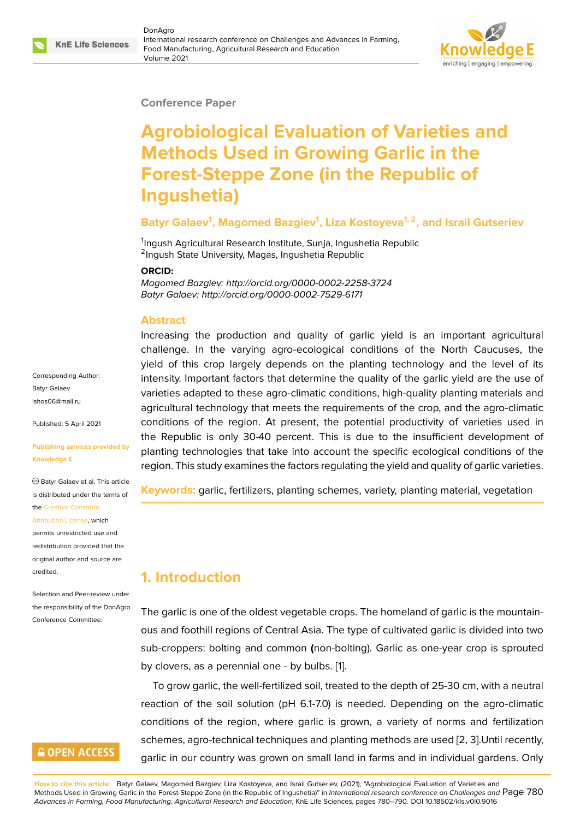#### **Conference Paper**

# **Agrobiological Evaluation of Varieties and Methods Used in Growing Garlic in the Forest-Steppe Zone (in the Republic of Ingushetia)**

### **Batyr Galaev<sup>1</sup> , Magomed Bazgiev<sup>1</sup> , Liza Kostoyeva1, 2, and Israil Gutseriev**

<sup>1</sup>Ingush Agricultural Research Institute, Sunja, Ingushetia Republic <sup>2</sup>Ingush State University, Magas, Ingushetia Republic

#### **ORCID:**

*Magomed Bazgiev: http://orcid.org/0000-0002-2258-3724 Batyr Galaev: http://orcid.org/0000-0002-7529-6171*

#### **Abstract**

Increasing the production and quality of garlic yield is an important agricultural challenge. In the varying agro-ecological conditions of the North Caucuses, the yield of this crop largely depends on the planting technology and the level of its intensity. Important factors that determine the quality of the garlic yield are the use of varieties adapted to these agro-climatic conditions, high-quality planting materials and agricultural technology that meets the requirements of the crop, and the agro-climatic conditions of the region. At present, the potential productivity of varieties used in the Republic is only 30-40 percent. This is due to the insufficient development of planting technologies that take into account the specific ecological conditions of the region. This study examines the factors regulating the yield and quality of garlic varieties.

**Keywords:** garlic, fertilizers, planting schemes, variety, planting material, vegetation

# **1. Introduction**

The garlic is one of the oldest vegetable crops. The homeland of garlic is the mountainous and foothill regions of Central Asia. The type of cultivated garlic is divided into two sub-croppers: bolting and common **(**non-bolting). Garlic as one-year crop is sprouted by clovers, as a perennial one - by bulbs. [1].

To grow garlic, the well-fertilized soil, treated to the depth of 25-30 cm, with a neutral reaction of the soil solution (pH 6.1-7.0) is needed. Depending on the agro-climatic conditions of the region, where garlic is [g](#page-9-0)rown, a variety of norms and fertilization schemes, agro-technical techniques and planting methods are used [2, 3].Until recently, garlic in our country was grown on small land in farms and in individual gardens. Only

Corresponding Author: Batyr Galaev ishos06@mail.ru

Published: 5 April 2021

#### **[Publishing servi](mailto:ishos06@mail.ru)ces provided by Knowledge E**

Batyr Galaev et al. This article is distributed under the terms of the Creative Commons

#### Attribution License, which

permits unrestricted use and redistribution provided that the orig[inal author and sou](https://creativecommons.org/licenses/by/4.0/)rce are [credited.](https://creativecommons.org/licenses/by/4.0/)

Selection and Peer-review under the responsibility of the DonAgro Conference Committee.

# **GOPEN ACCESS**

**How to cite this article**: Batyr Galaev, Magomed Bazgiev, Liza Kostoyeva, and Israil Gutseriev, (2021), "Agrobiological Evaluation of Varieties and Methods Used in Growing Garlic in the Forest-Steppe Zone (in the Republic of Ingushetia)" in *International research conference on Ch[all](#page-9-1)e[ng](#page-9-2)es and* Page 780 *Advances in Farming, Food Manufacturing, Agricultural Research and Education*, KnE Life Sciences, pages 780–790. DOI 10.18502/kls.v0i0.9016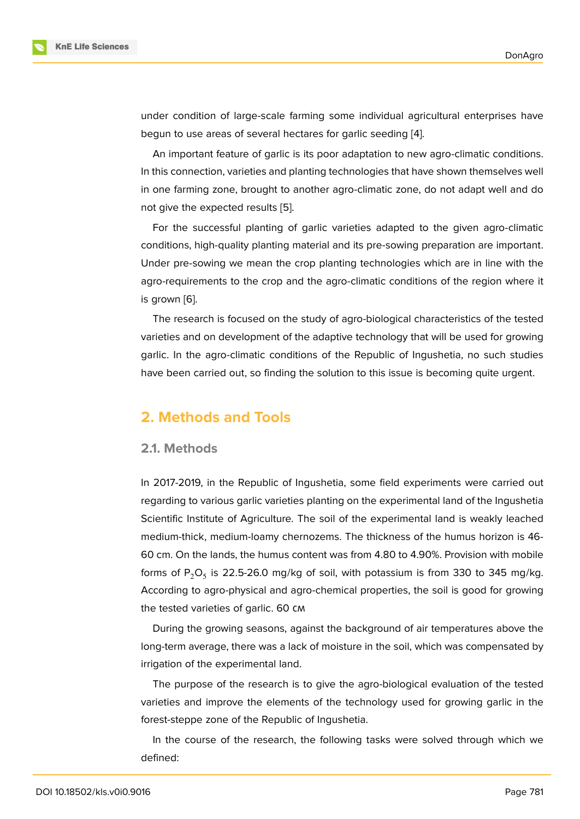under condition of large-scale farming some individual agricultural enterprises have begun to use areas of several hectares for garlic seeding [4].

An important feature of garlic is its poor adaptation to new agro-climatic conditions. In this connection, varieties and planting technologies that have shown themselves well in one farming zone, brought to another agro-climatic zon[e,](#page-9-3) do not adapt well and do not give the expected results [5].

For the successful planting of garlic varieties adapted to the given agro-climatic conditions, high-quality planting material and its pre-sowing preparation are important. Under pre-sowing we mean t[he](#page-10-0) crop planting technologies which are in line with the agro-requirements to the crop and the agro-climatic conditions of the region where it is grown [6].

The research is focused on the study of agro-biological characteristics of the tested varieties and on development of the adaptive technology that will be used for growing garlic. In [th](#page-10-1)e agro-climatic conditions of the Republic of Ingushetia, no such studies have been carried out, so finding the solution to this issue is becoming quite urgent.

# **2. Methods and Tools**

#### **2.1. Methods**

In 2017-2019, in the Republic of Ingushetia, some field experiments were carried out regarding to various garlic varieties planting on the experimental land of the Ingushetia Scientific Institute of Agriculture. The soil of the experimental land is weakly leached medium-thick, medium-loamy chernozems. The thickness of the humus horizon is 46- 60 cm. On the lands, the humus content was from 4.80 to 4.90%. Provision with mobile forms of  $\mathsf{P}_2\mathsf{O}_5$  is 22.5-26.0 mg/kg of soil, with potassium is from 330 to 345 mg/kg. According to agro-physical and agro-chemical properties, the soil is good for growing the tested varieties of garlic. 60 см

During the growing seasons, against the background of air temperatures above the long-term average, there was a lack of moisture in the soil, which was compensated by irrigation of the experimental land.

The purpose of the research is to give the agro-biological evaluation of the tested varieties and improve the elements of the technology used for growing garlic in the forest-steppe zone of the Republic of Ingushetia.

In the course of the research, the following tasks were solved through which we defined: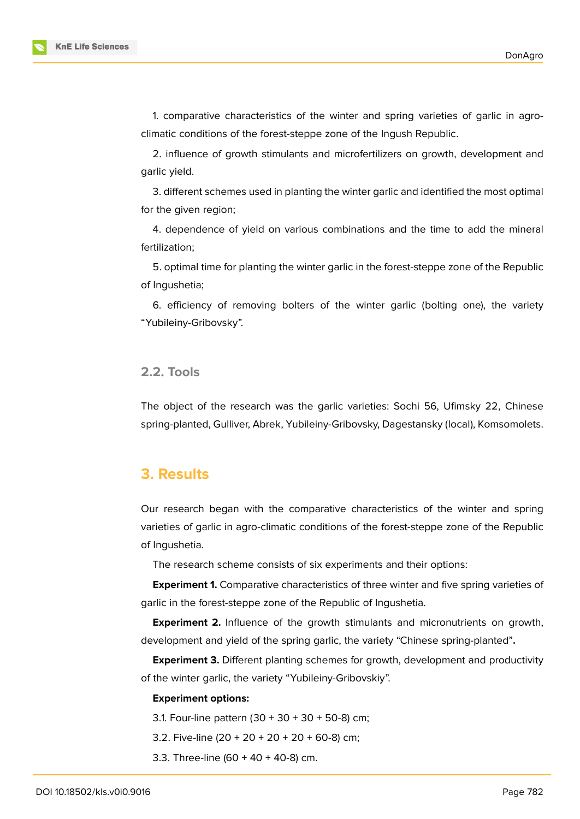**KnE Life Sciences** 



1. comparative characteristics of the winter and spring varieties of garlic in agroclimatic conditions of the forest-steppe zone of the Ingush Republic.

2. influence of growth stimulants and microfertilizers on growth, development and garlic yield.

3. different schemes used in planting the winter garlic and identified the most optimal for the given region;

4. dependence of yield on various combinations and the time to add the mineral fertilization;

5. optimal time for planting the winter garlic in the forest-steppe zone of the Republic of Ingushetia;

6. efficiency of removing bolters of the winter garlic (bolting one), the variety "Yubileiny-Gribovsky".

### **2.2. Tools**

The object of the research was the garlic varieties: Sochi 56, Ufimsky 22, Chinese spring-planted, Gulliver, Abrek, Yubileiny-Gribovsky, Dagestansky (local), Komsomolets.

### **3. Results**

Our research began with the comparative characteristics of the winter and spring varieties of garlic in agro-climatic conditions of the forest-steppe zone of the Republic of Ingushetia.

The research scheme consists of six experiments and their options:

**Experiment 1.** Comparative characteristics of three winter and five spring varieties of garlic in the forest-steppe zone of the Republic of Ingushetia.

**Experiment 2.** Influence of the growth stimulants and micronutrients on growth, development and yield of the spring garlic, the variety "Chinese spring-planted"**.**

**Experiment 3.** Different planting schemes for growth, development and productivity of the winter garlic, the variety "Yubileiny-Gribovskiy".

#### **Experiment options:**

3.1. Four-line pattern  $(30 + 30 + 30 + 50 - 8)$  cm;

- 3.2. Five-line (20 + 20 + 20 + 20 + 60-8) cm;
- 3.3. Three-line (60 + 40 + 40-8) cm.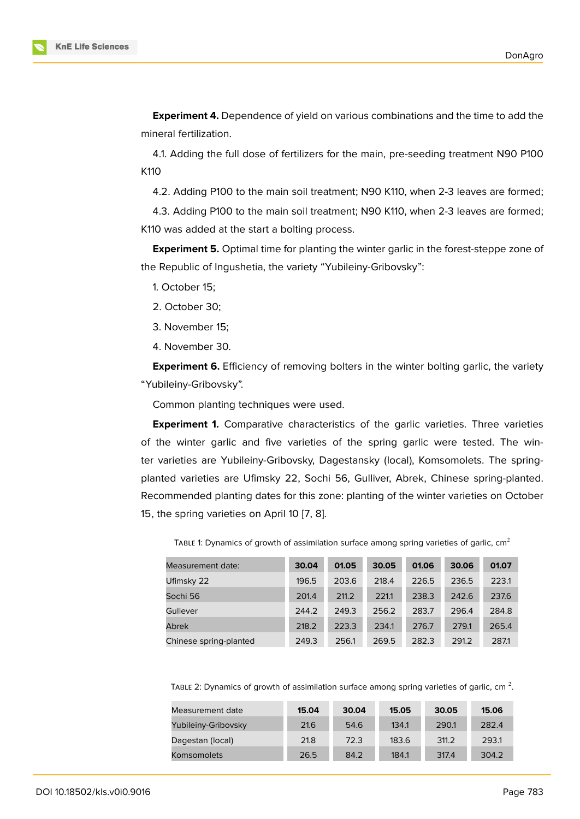**Experiment 4.** Dependence of yield on various combinations and the time to add the mineral fertilization.

4.1. Adding the full dose of fertilizers for the main, pre-seeding treatment N90 P100 K110

4.2. Adding P100 to the main soil treatment; N90 K110, when 2-3 leaves are formed;

4.3. Adding P100 to the main soil treatment; N90 K110, when 2-3 leaves are formed; K110 was added at the start a bolting process.

**Experiment 5.** Optimal time for planting the winter garlic in the forest-steppe zone of the Republic of Ingushetia, the variety "Yubileiny-Gribovsky":

1. October 15;

2. October 30;

3. November 15;

4. November 30.

**Experiment 6.** Efficiency of removing bolters in the winter bolting garlic, the variety "Yubileiny-Gribovsky".

Common planting techniques were used.

**Experiment 1.** Comparative characteristics of the garlic varieties. Three varieties of the winter garlic and five varieties of the spring garlic were tested. The winter varieties are Yubileiny-Gribovsky, Dagestansky (local), Komsomolets. The springplanted varieties are Ufimsky 22, Sochi 56, Gulliver, Abrek, Chinese spring-planted. Recommended planting dates for this zone: planting of the winter varieties on October 15, the spring varieties on April 10 [7, 8].

| Measurement date:      | 30.04 | 01.05 | 30.05 | 01.06 | 30.06 | 01.07 |
|------------------------|-------|-------|-------|-------|-------|-------|
| Ufimsky 22             | 196.5 | 203.6 | 218.4 | 226.5 | 236.5 | 223.1 |
| Sochi 56               | 201.4 | 211.2 | 2211  | 238.3 | 242.6 | 237.6 |
| Gullever               | 244.2 | 249.3 | 256.2 | 283.7 | 296.4 | 284.8 |
| Abrek                  | 218.2 | 223.3 | 234.1 | 276.7 | 279.1 | 265.4 |
| Chinese spring-planted | 249.3 | 256.1 | 269.5 | 282.3 | 291.2 | 287.1 |

TABLE 1: Dynamics of growth of assimilation surface among spring varieties of garlic,  $cm<sup>2</sup>$ 

TABLE 2: Dynamics of growth of assimilation surface among spring varieties of garlic, cm  $^2$ .

| Measurement date    | 15.04 | 30.04 | 15.05 | 30.05 | 15.06 |
|---------------------|-------|-------|-------|-------|-------|
| Yubileiny-Gribovsky | 21.6  | 54.6  | 134.1 | 290.1 | 282.4 |
| Dagestan (local)    | 21.8  | 72.3  | 183.6 | 311.2 | 293.1 |
| Komsomolets         | 26.5  | 84.2  | 184.1 | 317.4 | 304.2 |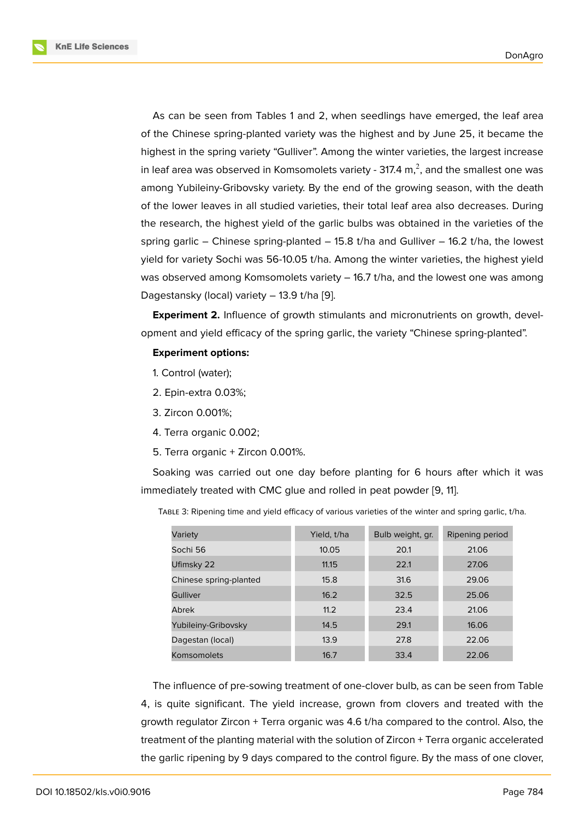As can be seen from Tables 1 and 2, when seedlings have emerged, the leaf area of the Chinese spring-planted variety was the highest and by June 25, it became the highest in the spring variety "Gulliver". Among the winter varieties, the largest increase in leaf area was observed in Komsomolets variety - 317.4 m, $^2$ , and the smallest one was among Yubileiny-Gribovsky variety. By the end of the growing season, with the death of the lower leaves in all studied varieties, their total leaf area also decreases. During the research, the highest yield of the garlic bulbs was obtained in the varieties of the spring garlic – Chinese spring-planted  $-$  15.8 t/ha and Gulliver – 16.2 t/ha, the lowest yield for variety Sochi was 56-10.05 t/ha. Among the winter varieties, the highest yield was observed among Komsomolets variety – 16.7 t/ha, and the lowest one was among Dagestansky (local) variety – 13.9 t/ha [9].

**Experiment 2.** Influence of growth stimulants and micronutrients on growth, development and yield efficacy of the spring garlic, the variety "Chinese spring-planted".

#### **Experiment options:**

- 1. Control (water);
- 2. Epin-extra 0.03%;
- 3. Zircon 0.001%;
- 4. Terra organic 0.002;
- 5. Terra organic + Zircon 0.001%.

Soaking was carried out one day before planting for 6 hours after which it was immediately treated with CMC glue and rolled in peat powder [9, 11].

| Variety                | Yield, t/ha | Bulb weight, gr. | Ripening period |
|------------------------|-------------|------------------|-----------------|
| Sochi 56               | 10.05       | 20.1             | 21.06           |
| Ufimsky 22             | 11.15       | 22.1             | 27.06           |
| Chinese spring-planted | 15.8        | 31.6             | 29.06           |
| Gulliver               | 16.2        | 32.5             | 25.06           |
| Abrek                  | 11.2        | 23.4             | 21.06           |
| Yubileiny-Gribovsky    | 14.5        | 29.1             | 16.06           |
| Dagestan (local)       | 13.9        | 27.8             | 22.06           |
| Komsomolets            | 16.7        | 33.4             | 22.06           |

TABLE 3: Ripening time and yield efficacy of various varieties of the winter and spring garlic, t/ha.

The influence of pre-sowing treatment of one-clover bulb, as can be seen from Table 4, is quite significant. The yield increase, grown from clovers and treated with the growth regulator Zircon + Terra organic was 4.6 t/ha compared to the control. Also, the treatment of the planting material with the solution of Zircon + Terra organic accelerated the garlic ripening by 9 days compared to the control figure. By the mass of one clover,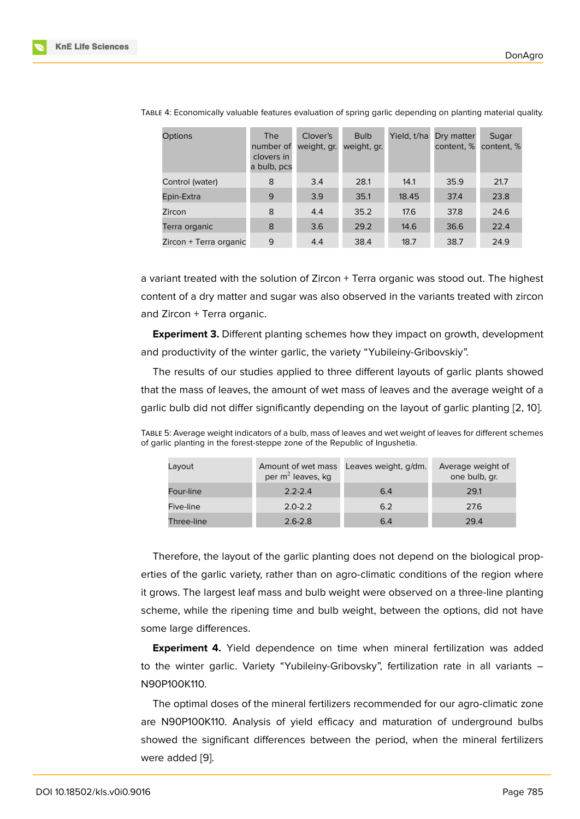| Options                | The<br>number of<br>clovers in<br>a bulb, pcs | Clover's<br>weight, gr. | <b>Bulb</b><br>weight, gr. | Yield, t/ha | Dry matter<br>content, % | Sugar<br>content, % |
|------------------------|-----------------------------------------------|-------------------------|----------------------------|-------------|--------------------------|---------------------|
| Control (water)        | 8                                             | 3.4                     | 28.1                       | 14.1        | 35.9                     | 21.7                |
| Epin-Extra             | 9                                             | 3.9                     | 35.1                       | 18.45       | 37.4                     | 23.8                |
| Zircon                 | 8                                             | 4.4                     | 35.2                       | 17.6        | 37.8                     | 24.6                |
| Terra organic          | 8                                             | 3.6                     | 29.2                       | 14.6        | 36.6                     | 22.4                |
| Zircon + Terra organic | 9                                             | 4.4                     | 38.4                       | 18.7        | 38.7                     | 24.9                |

TABLE 4: Economically valuable features evaluation of spring garlic depending on planting material quality.

a variant treated with the solution of Zircon + Terra organic was stood out. The highest content of a dry matter and sugar was also observed in the variants treated with zircon and Zircon + Terra organic.

**Experiment 3.** Different planting schemes how they impact on growth, development and productivity of the winter garlic, the variety "Yubileiny-Gribovskiy".

The results of our studies applied to three different layouts of garlic plants showed that the mass of leaves, the amount of wet mass of leaves and the average weight of a garlic bulb did not differ significantly depending on the layout of garlic planting [2, 10].

| Layout     | per $m^2$ leaves, kg | Amount of wet mass Leaves weight, g/dm. | Average weight of<br>one bulb, gr. |
|------------|----------------------|-----------------------------------------|------------------------------------|
| Four-line  | $2.2 - 2.4$          | 6.4                                     | 29.1                               |
| Five-line  | $2.0 - 2.2$          | 6.2                                     | 27.6                               |
| Three-line | $2.6 - 2.8$          | 6.4                                     | 29.4                               |

TABLE 5: Average weight indicators of a bulb, mass of leaves and wet weight of leaves for different schemes of garlic planting in the forest-steppe zone of the Republic of Ingushetia.

Therefore, the layout of the garlic planting does not depend on the biological properties of the garlic variety, rather than on agro-climatic conditions of the region where it grows. The largest leaf mass and bulb weight were observed on a three-line planting scheme, while the ripening time and bulb weight, between the options, did not have some large differences.

**Experiment 4.** Yield dependence on time when mineral fertilization was added to the winter garlic. Variety "Yubileiny-Gribovsky", fertilization rate in all variants – N90P100K110.

The optimal doses of the mineral fertilizers recommended for our agro-climatic zone are N90P100K110. Analysis of yield efficacy and maturation of underground bulbs showed the significant differences between the period, when the mineral fertilizers were added [9].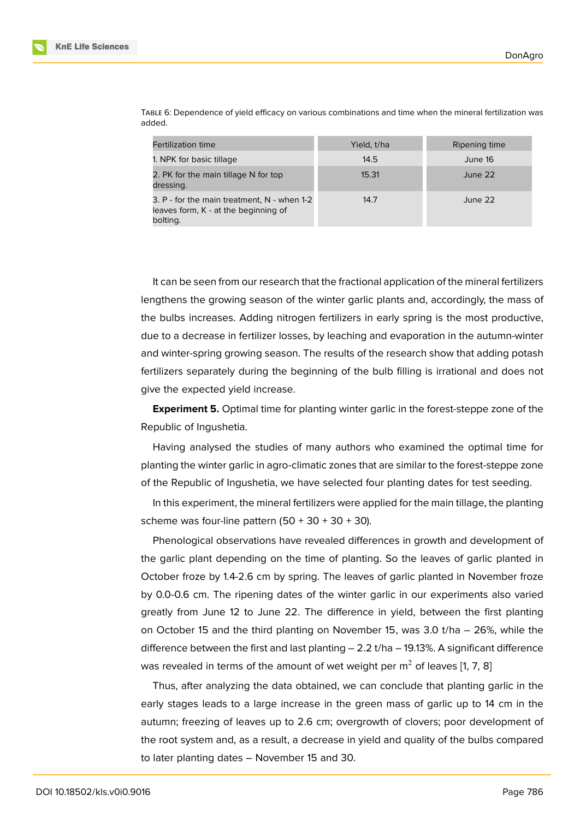| <b>Fertilization time</b>                                                                       | Yield, t/ha | Ripening time |
|-------------------------------------------------------------------------------------------------|-------------|---------------|
| 1. NPK for basic tillage                                                                        | 14.5        | June 16       |
| 2. PK for the main tillage N for top<br>dressing.                                               | 15.31       | June 22       |
| 3. P - for the main treatment, N - when 1-2<br>leaves form, K - at the beginning of<br>bolting. | 14.7        | June 22       |

TABLE 6: Dependence of yield efficacy on various combinations and time when the mineral fertilization was added.

It can be seen from our research that the fractional application of the mineral fertilizers lengthens the growing season of the winter garlic plants and, accordingly, the mass of the bulbs increases. Adding nitrogen fertilizers in early spring is the most productive, due to a decrease in fertilizer losses, by leaching and evaporation in the autumn-winter and winter-spring growing season. The results of the research show that adding potash fertilizers separately during the beginning of the bulb filling is irrational and does not give the expected yield increase.

**Experiment 5.** Optimal time for planting winter garlic in the forest-steppe zone of the Republic of Ingushetia.

Having analysed the studies of many authors who examined the optimal time for planting the winter garlic in agro-climatic zones that are similar to the forest-steppe zone of the Republic of Ingushetia, we have selected four planting dates for test seeding.

In this experiment, the mineral fertilizers were applied for the main tillage, the planting scheme was four-line pattern  $(50 + 30 + 30 + 30)$ .

Phenological observations have revealed differences in growth and development of the garlic plant depending on the time of planting. So the leaves of garlic planted in October froze by 1.4-2.6 cm by spring. The leaves of garlic planted in November froze by 0.0-0.6 cm. The ripening dates of the winter garlic in our experiments also varied greatly from June 12 to June 22. The difference in yield, between the first planting on October 15 and the third planting on November 15, was 3.0 t/ha – 26%, while the difference between the first and last planting  $-2.2$  t/ha  $-19.13\%$ . A significant difference was revealed in terms of the amount of wet weight per  $m^2$  of leaves [1, 7, 8]

Thus, after analyzing the data obtained, we can conclude that planting garlic in the early stages leads to a large increase in the green mass of garlic up to 14 cm in the autumn; freezing of leaves up to 2.6 cm; overgrowth of clovers; poo[r](#page-9-0) [de](#page-10-2)[ve](#page-10-3)lopment of the root system and, as a result, a decrease in yield and quality of the bulbs compared to later planting dates – November 15 and 30.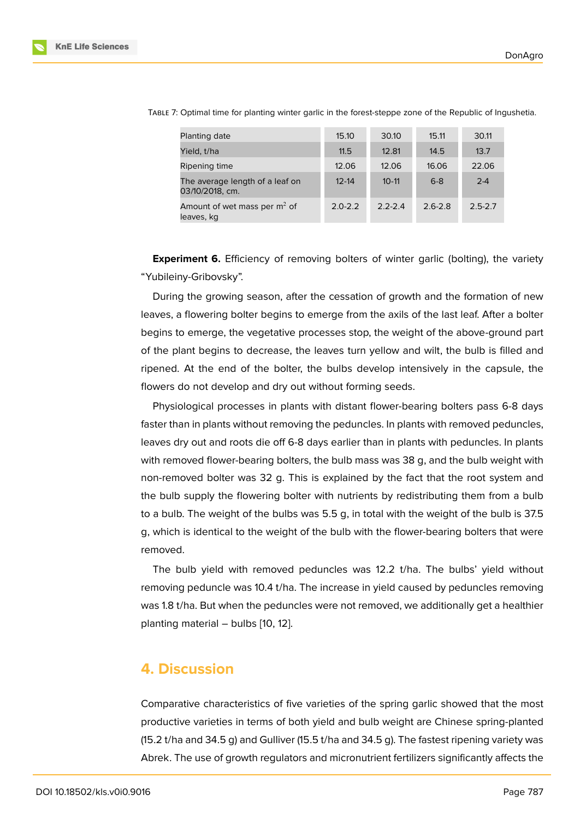| Planting date                                      | 15.10       | 30.10       | 15.11       | 30.11       |
|----------------------------------------------------|-------------|-------------|-------------|-------------|
| Yield, t/ha                                        | 11.5        | 12.81       | 14.5        | 13.7        |
| Ripening time                                      | 12.06       | 12.06       | 16.06       | 22.06       |
| The average length of a leaf on<br>03/10/2018, cm. | $12 - 14$   | $10 - 11$   | $6 - 8$     | $2 - 4$     |
| Amount of wet mass per $m2$ of<br>leaves, kg       | $2.0 - 2.2$ | $2.2 - 2.4$ | $2.6 - 2.8$ | $2.5 - 2.7$ |

TABLE 7: Optimal time for planting winter garlic in the forest-steppe zone of the Republic of Ingushetia.

**Experiment 6.** Efficiency of removing bolters of winter garlic (bolting), the variety "Yubileiny-Gribovsky".

During the growing season, after the cessation of growth and the formation of new leaves, a flowering bolter begins to emerge from the axils of the last leaf. After a bolter begins to emerge, the vegetative processes stop, the weight of the above-ground part of the plant begins to decrease, the leaves turn yellow and wilt, the bulb is filled and ripened. At the end of the bolter, the bulbs develop intensively in the capsule, the flowers do not develop and dry out without forming seeds.

Physiological processes in plants with distant flower-bearing bolters pass 6-8 days faster than in plants without removing the peduncles. In plants with removed peduncles, leaves dry out and roots die off 6-8 days earlier than in plants with peduncles. In plants with removed flower-bearing bolters, the bulb mass was 38 g, and the bulb weight with non-removed bolter was 32 g. This is explained by the fact that the root system and the bulb supply the flowering bolter with nutrients by redistributing them from a bulb to a bulb. The weight of the bulbs was 5.5 g, in total with the weight of the bulb is 37.5 g, which is identical to the weight of the bulb with the flower-bearing bolters that were removed.

The bulb yield with removed peduncles was 12.2 t/ha. The bulbs' yield without removing peduncle was 10.4 t/ha. The increase in yield caused by peduncles removing was 1.8 t/ha. But when the peduncles were not removed, we additionally get a healthier planting material – bulbs [10, 12].

### **4. Discussion**

Comparative characteristics of five varieties of the spring garlic showed that the most productive varieties in terms of both yield and bulb weight are Chinese spring-planted (15.2 t/ha and 34.5 g) and Gulliver (15.5 t/ha and 34.5 g). The fastest ripening variety was Abrek. The use of growth regulators and micronutrient fertilizers significantly affects the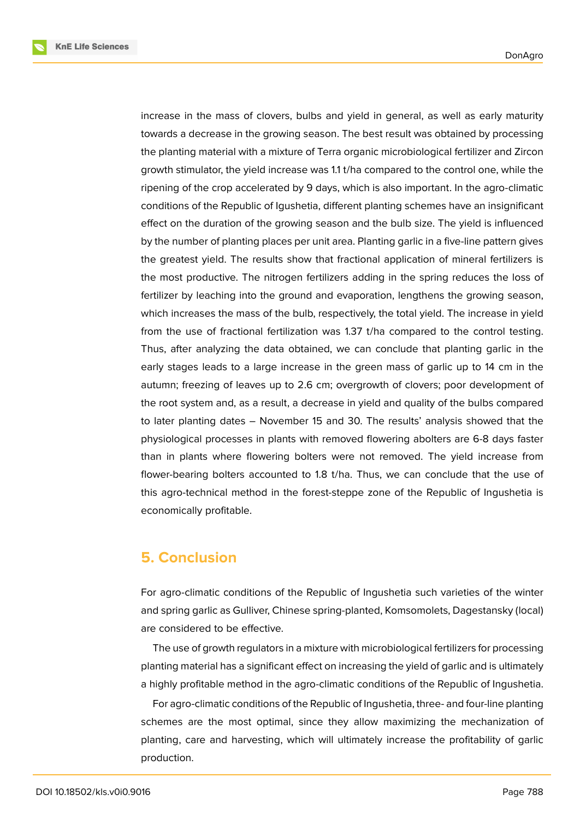**KnE Life Sciences** 



increase in the mass of clovers, bulbs and yield in general, as well as early maturity towards a decrease in the growing season. The best result was obtained by processing the planting material with a mixture of Terra organic microbiological fertilizer and Zircon growth stimulator, the yield increase was 1.1 t/ha compared to the control one, while the ripening of the crop accelerated by 9 days, which is also important. In the agro-climatic conditions of the Republic of Igushetia, different planting schemes have an insignificant effect on the duration of the growing season and the bulb size. The yield is influenced by the number of planting places per unit area. Planting garlic in a five-line pattern gives the greatest yield. The results show that fractional application of mineral fertilizers is the most productive. The nitrogen fertilizers adding in the spring reduces the loss of fertilizer by leaching into the ground and evaporation, lengthens the growing season, which increases the mass of the bulb, respectively, the total yield. The increase in yield from the use of fractional fertilization was 1.37 t/ha compared to the control testing. Thus, after analyzing the data obtained, we can conclude that planting garlic in the early stages leads to a large increase in the green mass of garlic up to 14 cm in the autumn; freezing of leaves up to 2.6 cm; overgrowth of clovers; poor development of the root system and, as a result, a decrease in yield and quality of the bulbs compared to later planting dates – November 15 and 30. The results' analysis showed that the physiological processes in plants with removed flowering abolters are 6-8 days faster than in plants where flowering bolters were not removed. The yield increase from flower-bearing bolters accounted to 1.8 t/ha. Thus, we can conclude that the use of this agro-technical method in the forest-steppe zone of the Republic of Ingushetia is economically profitable.

### **5. Conclusion**

For agro-climatic conditions of the Republic of Ingushetia such varieties of the winter and spring garlic as Gulliver, Chinese spring-planted, Komsomolets, Dagestansky (local) are considered to be effective.

The use of growth regulators in a mixture with microbiological fertilizers for processing planting material has a significant effect on increasing the yield of garlic and is ultimately a highly profitable method in the agro-climatic conditions of the Republic of Ingushetia.

For agro-climatic conditions of the Republic of Ingushetia, three- and four-line planting schemes are the most optimal, since they allow maximizing the mechanization of planting, care and harvesting, which will ultimately increase the profitability of garlic production.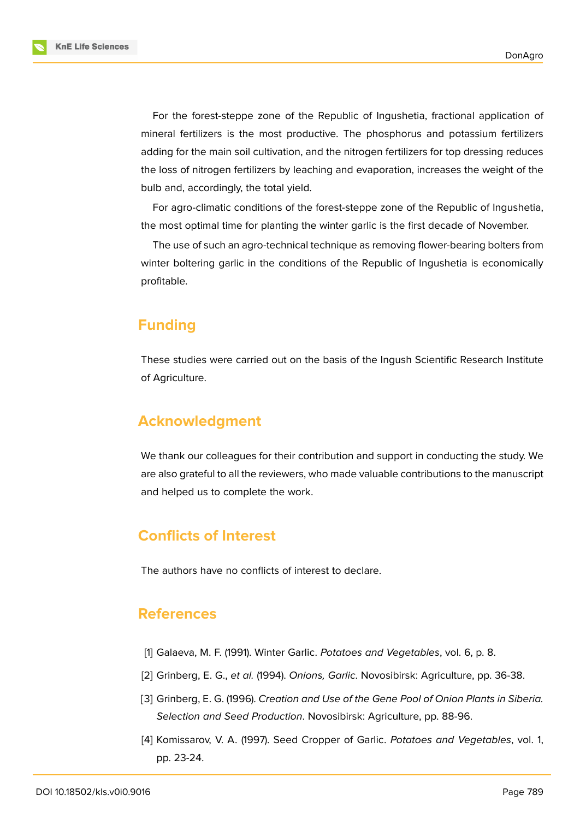For the forest-steppe zone of the Republic of Ingushetia, fractional application of mineral fertilizers is the most productive. The phosphorus and potassium fertilizers adding for the main soil cultivation, and the nitrogen fertilizers for top dressing reduces the loss of nitrogen fertilizers by leaching and evaporation, increases the weight of the bulb and, accordingly, the total yield.

For agro-climatic conditions of the forest-steppe zone of the Republic of Ingushetia, the most optimal time for planting the winter garlic is the first decade of November.

The use of such an agro-technical technique as removing flower-bearing bolters from winter boltering garlic in the conditions of the Republic of Ingushetia is economically profitable.

# **Funding**

These studies were carried out on the basis of the Ingush Scientific Research Institute of Agriculture.

# **Acknowledgment**

We thank our colleagues for their contribution and support in conducting the study. We are also grateful to all the reviewers, who made valuable contributions to the manuscript and helped us to complete the work.

# **Conflicts of Interest**

The authors have no conflicts of interest to declare.

# **References**

- <span id="page-9-0"></span>[1] Galaeva, M. F. (1991). Winter Garlic. *Potatoes and Vegetables*, vol. 6, p. 8.
- <span id="page-9-1"></span>[2] Grinberg, E. G., *et al.* (1994). *Onions, Garlic*. Novosibirsk: Agriculture, pp. 36-38.
- <span id="page-9-2"></span>[3] Grinberg, E. G. (1996). *Creation and Use of the Gene Pool of Onion Plants in Siberia. Selection and Seed Production*. Novosibirsk: Agriculture, pp. 88-96.
- <span id="page-9-3"></span>[4] Komissarov, V. A. (1997). Seed Cropper of Garlic. *Potatoes and Vegetables*, vol. 1, pp. 23-24.